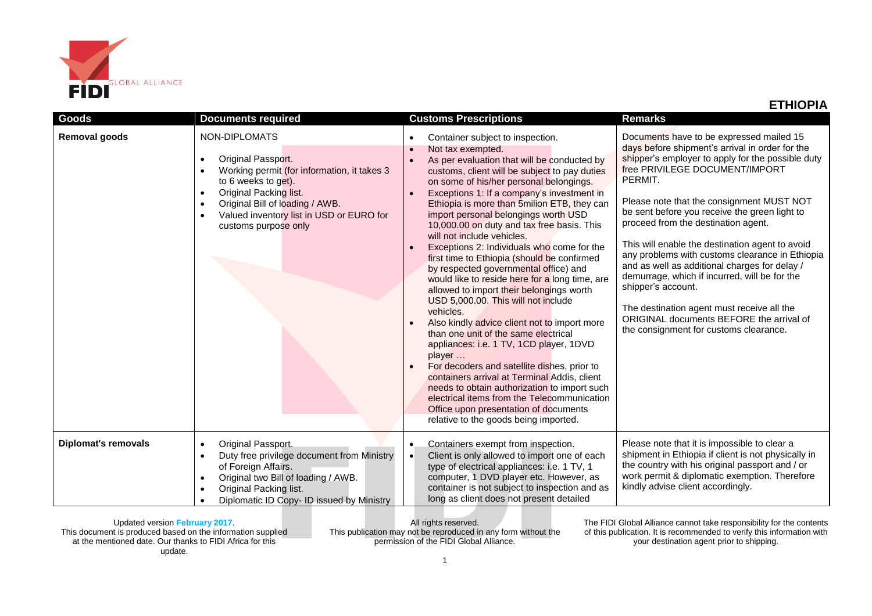

| <b>Goods</b>               | <b>Documents required</b>                                                                                                                                                                                                                                                                                   | <b>Customs Prescriptions</b>                                                                                                                                                                                                                                                                                                                                                                                                                                                                                                                                                                                                                                                                                                                                                                                                                                                                                                                                                                                                                                                                                                                                                               | <b>Remarks</b>                                                                                                                                                                                                                                                                                                                                                                                                                                                                                                                                                                                                                                                                                       |  |
|----------------------------|-------------------------------------------------------------------------------------------------------------------------------------------------------------------------------------------------------------------------------------------------------------------------------------------------------------|--------------------------------------------------------------------------------------------------------------------------------------------------------------------------------------------------------------------------------------------------------------------------------------------------------------------------------------------------------------------------------------------------------------------------------------------------------------------------------------------------------------------------------------------------------------------------------------------------------------------------------------------------------------------------------------------------------------------------------------------------------------------------------------------------------------------------------------------------------------------------------------------------------------------------------------------------------------------------------------------------------------------------------------------------------------------------------------------------------------------------------------------------------------------------------------------|------------------------------------------------------------------------------------------------------------------------------------------------------------------------------------------------------------------------------------------------------------------------------------------------------------------------------------------------------------------------------------------------------------------------------------------------------------------------------------------------------------------------------------------------------------------------------------------------------------------------------------------------------------------------------------------------------|--|
| Removal goods              | NON-DIPLOMATS<br>Original Passport.<br>$\bullet$<br>Working permit (for information, it takes 3<br>$\bullet$<br>to 6 weeks to get).<br>Original Packing list.<br>$\bullet$<br>Original Bill of loading / AWB.<br>$\bullet$<br>Valued inventory list in USD or EURO for<br>$\bullet$<br>customs purpose only | Container subject to inspection.<br>$\bullet$<br>Not tax exempted.<br>$\bullet$<br>As per evaluation that will be conducted by<br>$\bullet$<br>customs, client will be subject to pay duties<br>on some of his/her personal belongings.<br>Exceptions 1: If a company's investment in<br>Ethiopia is more than 5milion ETB, they can<br>import personal belongings worth USD<br>10,000.00 on duty and tax free basis. This<br>will not include vehicles.<br>Exceptions 2: Individuals who come for the<br>$\bullet$<br>first time to Ethiopia (should be confirmed<br>by respected governmental office) and<br>would like to reside here for a long time, are<br>allowed to import their belongings worth<br>USD 5,000.00. This will not include<br>vehicles.<br>Also kindly advice client not to import more<br>than one unit of the same electrical<br>appliances: i.e. 1 TV, 1CD player, 1DVD<br>player<br>For decoders and satellite dishes, prior to<br>containers arrival at Terminal Addis, client<br>needs to obtain authorization to import such<br>electrical items from the Telecommunication<br>Office upon presentation of documents<br>relative to the goods being imported. | Documents have to be expressed mailed 15<br>days before shipment's arrival in order for the<br>shipper's employer to apply for the possible duty<br>free PRIVILEGE DOCUMENT/IMPORT<br>PERMIT.<br>Please note that the consignment MUST NOT<br>be sent before you receive the green light to<br>proceed from the destination agent.<br>This will enable the destination agent to avoid<br>any problems with customs clearance in Ethiopia<br>and as well as additional charges for delay /<br>demurrage, which if incurred, will be for the<br>shipper's account.<br>The destination agent must receive all the<br>ORIGINAL documents BEFORE the arrival of<br>the consignment for customs clearance. |  |
| <b>Diplomat's removals</b> | Original Passport.<br>$\bullet$<br>Duty free privilege document from Ministry<br>$\bullet$<br>of Foreign Affairs.<br>Original two Bill of loading / AWB.<br>$\bullet$<br>Original Packing list.<br>$\bullet$<br>Diplomatic ID Copy- ID issued by Ministry<br>$\bullet$                                      | Containers exempt from inspection.<br>$\bullet$<br>Client is only allowed to import one of each<br>$\bullet$<br>type of electrical appliances: i.e. 1 TV, 1<br>computer, 1 DVD player etc. However, as<br>container is not subject to inspection and as<br>long as client does not present detailed                                                                                                                                                                                                                                                                                                                                                                                                                                                                                                                                                                                                                                                                                                                                                                                                                                                                                        | Please note that it is impossible to clear a<br>shipment in Ethiopia if client is not physically in<br>the country with his original passport and / or<br>work permit & diplomatic exemption. Therefore<br>kindly advise client accordingly.                                                                                                                                                                                                                                                                                                                                                                                                                                                         |  |

Updated version **February 2017**. This document is produced based on the information supplied at the mentioned date. Our thanks to FIDI Africa for this update.

All rights reserved. This publication may not be reproduced in any form without the permission of the FIDI Global Alliance.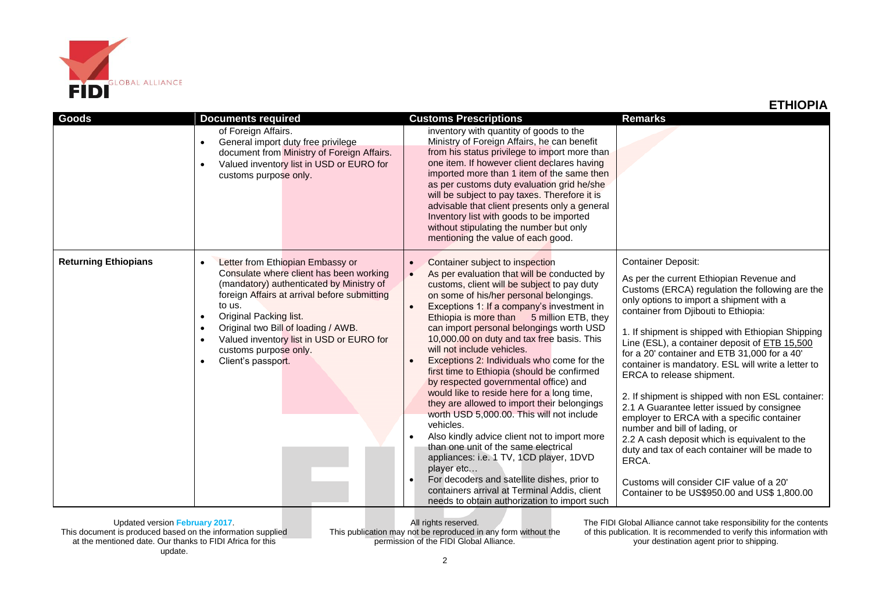

## **ETHIOPIA**

| Goods                       | <b>Documents required</b>                                                                                                                                                                                                                                                                                                                                                                         | <b>Customs Prescriptions</b>                                                                                                                                                                                                                                                                                                                                                                                                                                                                                                                                                                                                                                                                                                                                                                                                                                                                                                                                                                                                    | <b>Remarks</b>                                                                                                                                                                                                                                                                                                                                                                                                                                                                                                                                                                                                                                                                                                                                                                                                                                  |  |
|-----------------------------|---------------------------------------------------------------------------------------------------------------------------------------------------------------------------------------------------------------------------------------------------------------------------------------------------------------------------------------------------------------------------------------------------|---------------------------------------------------------------------------------------------------------------------------------------------------------------------------------------------------------------------------------------------------------------------------------------------------------------------------------------------------------------------------------------------------------------------------------------------------------------------------------------------------------------------------------------------------------------------------------------------------------------------------------------------------------------------------------------------------------------------------------------------------------------------------------------------------------------------------------------------------------------------------------------------------------------------------------------------------------------------------------------------------------------------------------|-------------------------------------------------------------------------------------------------------------------------------------------------------------------------------------------------------------------------------------------------------------------------------------------------------------------------------------------------------------------------------------------------------------------------------------------------------------------------------------------------------------------------------------------------------------------------------------------------------------------------------------------------------------------------------------------------------------------------------------------------------------------------------------------------------------------------------------------------|--|
|                             | of Foreign Affairs.<br>General import duty free privilege<br>$\bullet$<br>document from Ministry of Foreign Affairs.<br>Valued inventory list in USD or EURO for<br>$\bullet$<br>customs purpose only.                                                                                                                                                                                            | inventory with quantity of goods to the<br>Ministry of Foreign Affairs, he can benefit<br>from his status privilege to import more than<br>one item. If however client declares having<br>imported more than 1 item of the same then<br>as per customs duty evaluation grid he/she<br>will be subject to pay taxes. Therefore it is<br>advisable that client presents only a general<br>Inventory list with goods to be imported<br>without stipulating the number but only<br>mentioning the value of each good.                                                                                                                                                                                                                                                                                                                                                                                                                                                                                                               |                                                                                                                                                                                                                                                                                                                                                                                                                                                                                                                                                                                                                                                                                                                                                                                                                                                 |  |
| <b>Returning Ethiopians</b> | Letter from Ethiopian Embassy or<br>$\bullet$<br>Consulate where client has been working<br>(mandatory) authenticated by Ministry of<br>foreign Affairs at arrival before submitting<br>to us.<br>Original Packing list.<br>$\bullet$<br>Original two Bill of loading / AWB.<br>$\bullet$<br>Valued inventory list in USD or EURO for<br>$\bullet$<br>customs purpose only.<br>Client's passport. | Container subject to inspection<br>$\bullet$<br>As per evaluation that will be conducted by<br>$\bullet$<br>customs, client will be subject to pay duty<br>on some of his/her personal belongings.<br>Exceptions 1: If a company's investment in<br>Ethiopia is more than 5 million ETB, they<br>can import personal belongings worth USD<br>10,000.00 on duty and tax free basis. This<br>will not include vehicles.<br>Exceptions 2: Individuals who come for the<br>first time to Ethiopia (should be confirmed<br>by respected governmental office) and<br>would like to reside here for a long time,<br>they are allowed to import their belongings<br>worth USD 5,000.00. This will not include<br>vehicles.<br>Also kindly advice client not to import more<br>than one unit of the same electrical<br>appliances: i.e. 1 TV, 1CD player, 1DVD<br>player etc<br>For decoders and satellite dishes, prior to<br>$\bullet$<br>containers arrival at Terminal Addis, client<br>needs to obtain authorization to import such | <b>Container Deposit:</b><br>As per the current Ethiopian Revenue and<br>Customs (ERCA) regulation the following are the<br>only options to import a shipment with a<br>container from Djibouti to Ethiopia:<br>1. If shipment is shipped with Ethiopian Shipping<br>Line (ESL), a container deposit of ETB 15,500<br>for a 20' container and ETB 31,000 for a 40'<br>container is mandatory. ESL will write a letter to<br>ERCA to release shipment.<br>2. If shipment is shipped with non ESL container:<br>2.1 A Guarantee letter issued by consignee<br>employer to ERCA with a specific container<br>number and bill of lading, or<br>2.2 A cash deposit which is equivalent to the<br>duty and tax of each container will be made to<br>ERCA.<br>Customs will consider CIF value of a 20'<br>Container to be US\$950.00 and US\$ 1,800.00 |  |

Updated version **February 2017**. This document is produced based on the information supplied at the mentioned date. Our thanks to FIDI Africa for this update.

All rights reserved. This publication may not be reproduced in any form without the permission of the FIDI Global Alliance.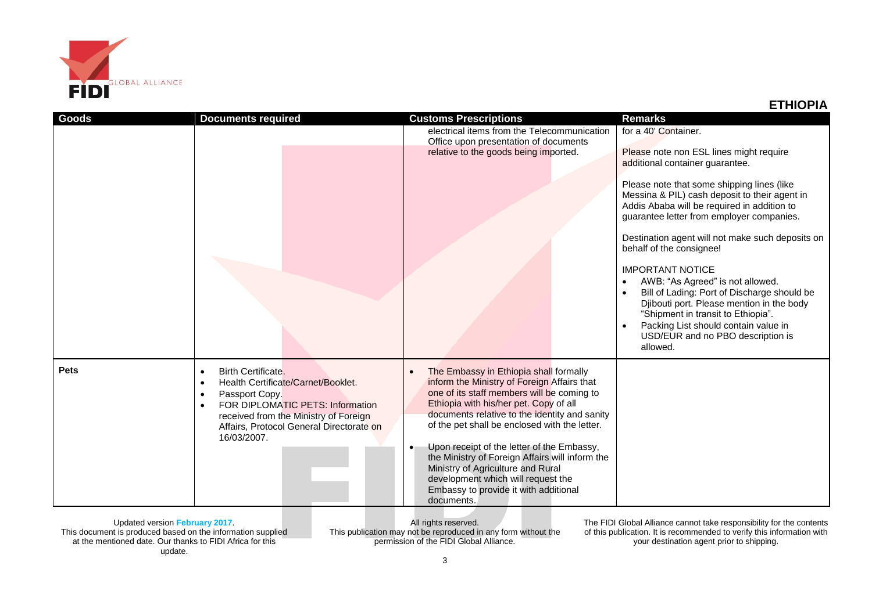

| ETHIOPIA |  |  |
|----------|--|--|
|          |  |  |

| Goods       | <b>Documents required</b>                                                                                                                                                                                                                                              | <b>Customs Prescriptions</b><br>electrical items from the Telecommunication<br>Office upon presentation of documents                                                                                                                                                                                                                                                                                                                                                                                                                         | <b>Remarks</b><br>for a 40' Container.                                                                                                                                                                                                                                                 |
|-------------|------------------------------------------------------------------------------------------------------------------------------------------------------------------------------------------------------------------------------------------------------------------------|----------------------------------------------------------------------------------------------------------------------------------------------------------------------------------------------------------------------------------------------------------------------------------------------------------------------------------------------------------------------------------------------------------------------------------------------------------------------------------------------------------------------------------------------|----------------------------------------------------------------------------------------------------------------------------------------------------------------------------------------------------------------------------------------------------------------------------------------|
|             |                                                                                                                                                                                                                                                                        | relative to the goods being imported.                                                                                                                                                                                                                                                                                                                                                                                                                                                                                                        | Please note non ESL lines might require<br>additional container quarantee.                                                                                                                                                                                                             |
|             |                                                                                                                                                                                                                                                                        |                                                                                                                                                                                                                                                                                                                                                                                                                                                                                                                                              | Please note that some shipping lines (like<br>Messina & PIL) cash deposit to their agent in<br>Addis Ababa will be required in addition to<br>guarantee letter from employer companies.                                                                                                |
|             |                                                                                                                                                                                                                                                                        |                                                                                                                                                                                                                                                                                                                                                                                                                                                                                                                                              | Destination agent will not make such deposits on<br>behalf of the consignee!                                                                                                                                                                                                           |
|             |                                                                                                                                                                                                                                                                        |                                                                                                                                                                                                                                                                                                                                                                                                                                                                                                                                              | <b>IMPORTANT NOTICE</b><br>AWB: "As Agreed" is not allowed.<br>Bill of Lading: Port of Discharge should be<br>Djibouti port. Please mention in the body<br>"Shipment in transit to Ethiopia".<br>Packing List should contain value in<br>USD/EUR and no PBO description is<br>allowed. |
| <b>Pets</b> | Birth Certificate.<br>$\bullet$<br>Health Certificate/Carnet/Booklet.<br>$\bullet$<br>Passport Copy.<br>$\bullet$<br>FOR DIPLOMATIC PETS: Information<br>$\bullet$<br>received from the Ministry of Foreign<br>Affairs, Protocol General Directorate on<br>16/03/2007. | The Embassy in Ethiopia shall formally<br>$\bullet$<br>inform the Ministry of Foreign Affairs that<br>one of its staff members will be coming to<br>Ethiopia with his/her pet. Copy of all<br>documents relative to the identity and sanity<br>of the pet shall be enclosed with the letter.<br>Upon receipt of the letter of the Embassy,<br>$\bullet$<br>the Ministry of Foreign Affairs will inform the<br>Ministry of Agriculture and Rural<br>development which will request the<br>Embassy to provide it with additional<br>documents. |                                                                                                                                                                                                                                                                                        |

Updated version **February 2017**. This document is produced based on the information supplied at the mentioned date. Our thanks to FIDI Africa for this update.

All rights reserved. This publication may not be reproduced in any form without the permission of the FIDI Global Alliance.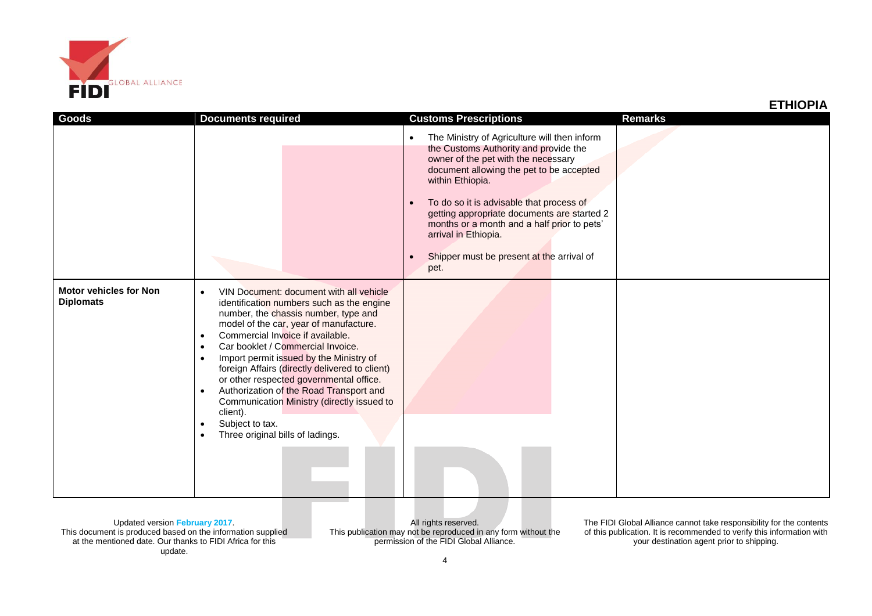

| ETHIOPIA |  |  |
|----------|--|--|
|          |  |  |

| הו וטוווב                                         |                                                                                                                                                                                                                                                                                                                                                                                                                                                                                                                                                                                                                                                |                                                                                                                                                                                                                                                                                                                                                                                                                                               |                |  |  |
|---------------------------------------------------|------------------------------------------------------------------------------------------------------------------------------------------------------------------------------------------------------------------------------------------------------------------------------------------------------------------------------------------------------------------------------------------------------------------------------------------------------------------------------------------------------------------------------------------------------------------------------------------------------------------------------------------------|-----------------------------------------------------------------------------------------------------------------------------------------------------------------------------------------------------------------------------------------------------------------------------------------------------------------------------------------------------------------------------------------------------------------------------------------------|----------------|--|--|
| Goods                                             | <b>Documents required</b>                                                                                                                                                                                                                                                                                                                                                                                                                                                                                                                                                                                                                      | <b>Customs Prescriptions</b>                                                                                                                                                                                                                                                                                                                                                                                                                  | <b>Remarks</b> |  |  |
|                                                   |                                                                                                                                                                                                                                                                                                                                                                                                                                                                                                                                                                                                                                                | The Ministry of Agriculture will then inform<br>$\bullet$<br>the Customs Authority and provide the<br>owner of the pet with the necessary<br>document allowing the pet to be accepted<br>within Ethiopia.<br>To do so it is advisable that process of<br>$\bullet$<br>getting appropriate documents are started 2<br>months or a month and a half prior to pets'<br>arrival in Ethiopia.<br>Shipper must be present at the arrival of<br>pet. |                |  |  |
| <b>Motor vehicles for Non</b><br><b>Diplomats</b> | VIN Document: document with all vehicle<br>$\bullet$<br>identification numbers such as the engine<br>number, the chassis number, type and<br>model of the car, year of manufacture.<br>Commercial Invoice if available.<br>$\bullet$<br>Car booklet / Commercial Invoice.<br>$\bullet$<br>Import permit issued by the Ministry of<br>$\bullet$<br>foreign Affairs (directly delivered to client)<br>or other respected governmental office.<br>Authorization of the Road Transport and<br>$\bullet$<br>Communication Ministry (directly issued to<br>client).<br>Subject to tax.<br>$\bullet$<br>Three original bills of ladings.<br>$\bullet$ |                                                                                                                                                                                                                                                                                                                                                                                                                                               |                |  |  |

Updated version **February 2017**. This document is produced based on the information supplied at the mentioned date. Our thanks to FIDI Africa for this update.

All rights reserved. This publication may not be reproduced in any form without the permission of the FIDI Global Alliance.